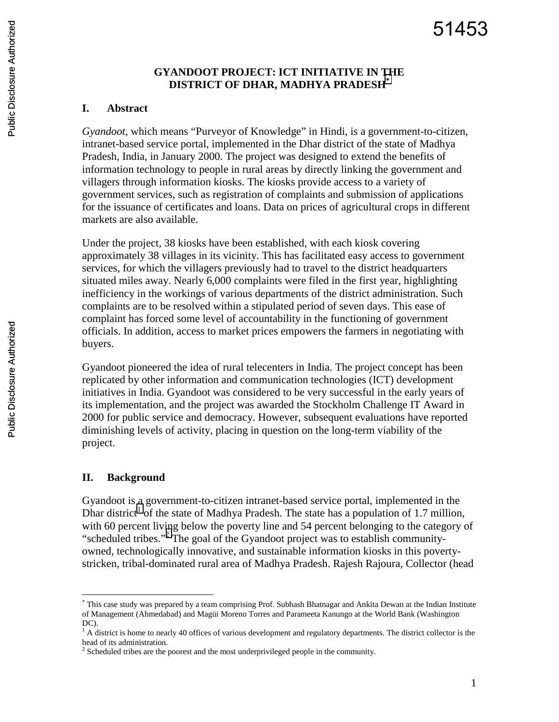# **GYANDOOT PROJECT: ICT INITIATIVE IN THE DISTRICT OF DHAR, MADHYA PRADESH\***

### **I. Abstract**

*Gyandoot*, which means "Purveyor of Knowledge" in Hindi, is a government-to-citizen, intranet-based service portal, implemented in the Dhar district of the state of Madhya Pradesh, India, in January 2000. The project was designed to extend the benefits of information technology to people in rural areas by directly linking the government and villagers through information kiosks. The kiosks provide access to a variety of government services, such as registration of complaints and submission of applications for the issuance of certificates and loans. Data on prices of agricultural crops in different markets are also available.

Under the project, 38 kiosks have been established, with each kiosk covering approximately 38 villages in its vicinity. This has facilitated easy access to government services, for which the villagers previously had to travel to the district headquarters situated miles away. Nearly 6,000 complaints were filed in the first year, highlighting inefficiency in the workings of various departments of the district administration. Such complaints are to be resolved within a stipulated period of seven days. This ease of complaint has forced some level of accountability in the functioning of government officials. In addition, access to market prices empowers the farmers in negotiating with buyers.

Gyandoot pioneered the idea of rural telecenters in India. The project concept has been replicated by other information and communication technologies (ICT) development initiatives in India. Gyandoot was considered to be very successful in the early years of its implementation, and the project was awarded the Stockholm Challenge IT Award in 2000 for public service and democracy. However, subsequent evaluations have reported diminishing levels of activity, placing in question on the long-term viability of the project.

#### **II. Background**

1

Gyandoot is a government-to-citizen intranet-based service portal, implemented in the Dhar district<sup>1</sup> of the state of Madhya Pradesh. The state has a population of 1.7 million, with 60 percent living below the poverty line and 54 percent belonging to the category of "scheduled tribes."<sup>2</sup> The goal of the Gyandoot project was to establish communityowned, technologically innovative, and sustainable information kiosks in this povertystricken, tribal-dominated rural area of Madhya Pradesh. Rajesh Rajoura, Collector (head

<sup>\*</sup> This case study was prepared by a team comprising Prof. Subhash Bhatnagar and Ankita Dewan at the Indian Institute of Management (Ahmedabad) and Magüi Moreno Torres and Parameeta Kanungo at the World Bank (Washington DC).

 $<sup>1</sup>$  A district is home to nearly 40 offices of various development and regulatory departments. The district collector is the</sup> head of its administration.

 $2^2$  Scheduled tribes are the poorest and the most underprivileged people in the community.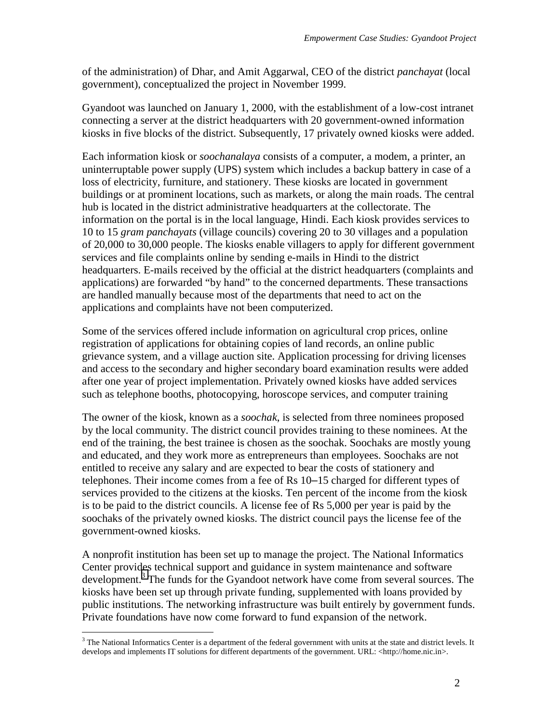of the administration) of Dhar, and Amit Aggarwal, CEO of the district *panchayat* (local government), conceptualized the project in November 1999.

Gyandoot was launched on January 1, 2000, with the establishment of a low-cost intranet connecting a server at the district headquarters with 20 government-owned information kiosks in five blocks of the district. Subsequently, 17 privately owned kiosks were added.

Each information kiosk or *soochanalaya* consists of a computer, a modem, a printer, an uninterruptable power supply (UPS) system which includes a backup battery in case of a loss of electricity, furniture, and stationery. These kiosks are located in government buildings or at prominent locations, such as markets, or along the main roads. The central hub is located in the district administrative headquarters at the collectorate. The information on the portal is in the local language, Hindi. Each kiosk provides services to 10 to 15 *gram panchayats* (village councils) covering 20 to 30 villages and a population of 20,000 to 30,000 people. The kiosks enable villagers to apply for different government services and file complaints online by sending e-mails in Hindi to the district headquarters. E-mails received by the official at the district headquarters (complaints and applications) are forwarded "by hand" to the concerned departments. These transactions are handled manually because most of the departments that need to act on the applications and complaints have not been computerized.

Some of the services offered include information on agricultural crop prices, online registration of applications for obtaining copies of land records, an online public grievance system, and a village auction site. Application processing for driving licenses and access to the secondary and higher secondary board examination results were added after one year of project implementation. Privately owned kiosks have added services such as telephone booths, photocopying, horoscope services, and computer training

The owner of the kiosk, known as a *soochak*, is selected from three nominees proposed by the local community. The district council provides training to these nominees. At the end of the training, the best trainee is chosen as the soochak. Soochaks are mostly young and educated, and they work more as entrepreneurs than employees. Soochaks are not entitled to receive any salary and are expected to bear the costs of stationery and telephones. Their income comes from a fee of Rs 10–15 charged for different types of services provided to the citizens at the kiosks. Ten percent of the income from the kiosk is to be paid to the district councils. A license fee of Rs 5,000 per year is paid by the soochaks of the privately owned kiosks. The district council pays the license fee of the government-owned kiosks.

A nonprofit institution has been set up to manage the project. The National Informatics Center provides technical support and guidance in system maintenance and software development.<sup>3</sup> The funds for the Gyandoot network have come from several sources. The kiosks have been set up through private funding, supplemented with loans provided by public institutions. The networking infrastructure was built entirely by government funds. Private foundations have now come forward to fund expansion of the network.

<sup>&</sup>lt;sup>3</sup> The National Informatics Center is a department of the federal government with units at the state and district levels. It develops and implements IT solutions for different departments of the government. URL: <http://home.nic.in>.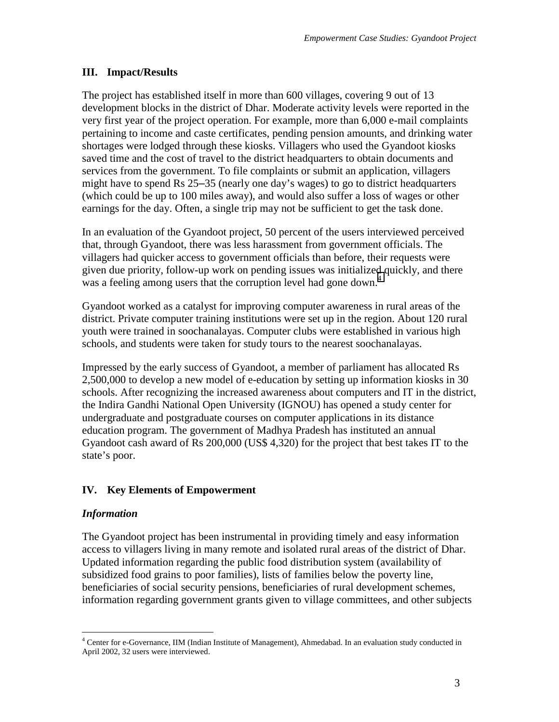# **III. Impact/Results**

The project has established itself in more than 600 villages, covering 9 out of 13 development blocks in the district of Dhar. Moderate activity levels were reported in the very first year of the project operation. For example, more than 6,000 e-mail complaints pertaining to income and caste certificates, pending pension amounts, and drinking water shortages were lodged through these kiosks. Villagers who used the Gyandoot kiosks saved time and the cost of travel to the district headquarters to obtain documents and services from the government. To file complaints or submit an application, villagers might have to spend Rs 25–35 (nearly one day's wages) to go to district headquarters (which could be up to 100 miles away), and would also suffer a loss of wages or other earnings for the day. Often, a single trip may not be sufficient to get the task done.

In an evaluation of the Gyandoot project, 50 percent of the users interviewed perceived that, through Gyandoot, there was less harassment from government officials. The villagers had quicker access to government officials than before, their requests were given due priority, follow-up work on pending issues was initialized quickly, and there was a feeling among users that the corruption level had gone down.<sup>4</sup>

Gyandoot worked as a catalyst for improving computer awareness in rural areas of the district. Private computer training institutions were set up in the region. About 120 rural youth were trained in soochanalayas. Computer clubs were established in various high schools, and students were taken for study tours to the nearest soochanalayas.

Impressed by the early success of Gyandoot, a member of parliament has allocated Rs 2,500,000 to develop a new model of e-education by setting up information kiosks in 30 schools. After recognizing the increased awareness about computers and IT in the district, the Indira Gandhi National Open University (IGNOU) has opened a study center for undergraduate and postgraduate courses on computer applications in its distance education program. The government of Madhya Pradesh has instituted an annual Gyandoot cash award of Rs 200,000 (US\$ 4,320) for the project that best takes IT to the state's poor.

# **IV. Key Elements of Empowerment**

# *Information*

The Gyandoot project has been instrumental in providing timely and easy information access to villagers living in many remote and isolated rural areas of the district of Dhar. Updated information regarding the public food distribution system (availability of subsidized food grains to poor families), lists of families below the poverty line, beneficiaries of social security pensions, beneficiaries of rural development schemes, information regarding government grants given to village committees, and other subjects

 4 Center for e-Governance, IIM (Indian Institute of Management), Ahmedabad. In an evaluation study conducted in April 2002, 32 users were interviewed.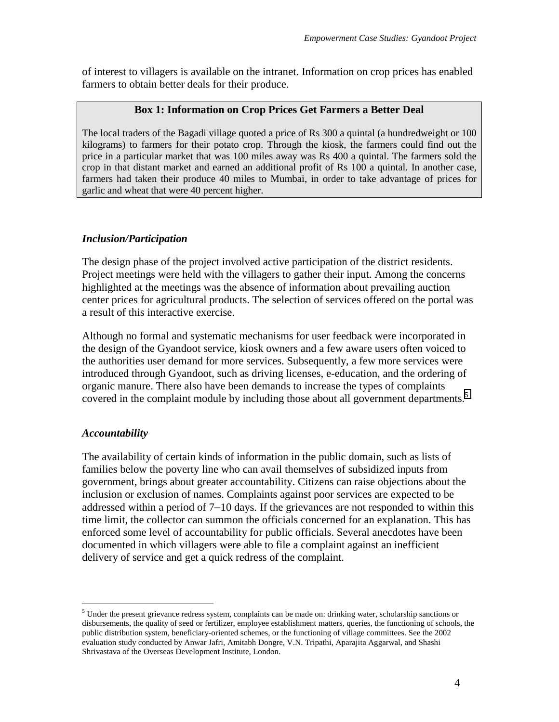of interest to villagers is available on the intranet. Information on crop prices has enabled farmers to obtain better deals for their produce.

#### **Box 1: Information on Crop Prices Get Farmers a Better Deal**

The local traders of the Bagadi village quoted a price of Rs 300 a quintal (a hundredweight or 100 kilograms) to farmers for their potato crop. Through the kiosk, the farmers could find out the price in a particular market that was 100 miles away was Rs 400 a quintal. The farmers sold the crop in that distant market and earned an additional profit of Rs 100 a quintal. In another case, farmers had taken their produce 40 miles to Mumbai, in order to take advantage of prices for garlic and wheat that were 40 percent higher.

#### *Inclusion/Participation*

The design phase of the project involved active participation of the district residents. Project meetings were held with the villagers to gather their input. Among the concerns highlighted at the meetings was the absence of information about prevailing auction center prices for agricultural products. The selection of services offered on the portal was a result of this interactive exercise.

Although no formal and systematic mechanisms for user feedback were incorporated in the design of the Gyandoot service, kiosk owners and a few aware users often voiced to the authorities user demand for more services. Subsequently, a few more services were introduced through Gyandoot, such as driving licenses, e-education, and the ordering of organic manure. There also have been demands to increase the types of complaints covered in the complaint module by including those about all government departments.<sup>5</sup>

# *Accountability*

1

The availability of certain kinds of information in the public domain, such as lists of families below the poverty line who can avail themselves of subsidized inputs from government, brings about greater accountability. Citizens can raise objections about the inclusion or exclusion of names. Complaints against poor services are expected to be addressed within a period of 7–10 days. If the grievances are not responded to within this time limit, the collector can summon the officials concerned for an explanation. This has enforced some level of accountability for public officials. Several anecdotes have been documented in which villagers were able to file a complaint against an inefficient delivery of service and get a quick redress of the complaint.

 $<sup>5</sup>$  Under the present grievance redress system, complaints can be made on: drinking water, scholarship sanctions or</sup> disbursements, the quality of seed or fertilizer, employee establishment matters, queries, the functioning of schools, the public distribution system, beneficiary-oriented schemes, or the functioning of village committees. See the 2002 evaluation study conducted by Anwar Jafri, Amitabh Dongre, V.N. Tripathi, Aparajita Aggarwal, and Shashi Shrivastava of the Overseas Development Institute, London.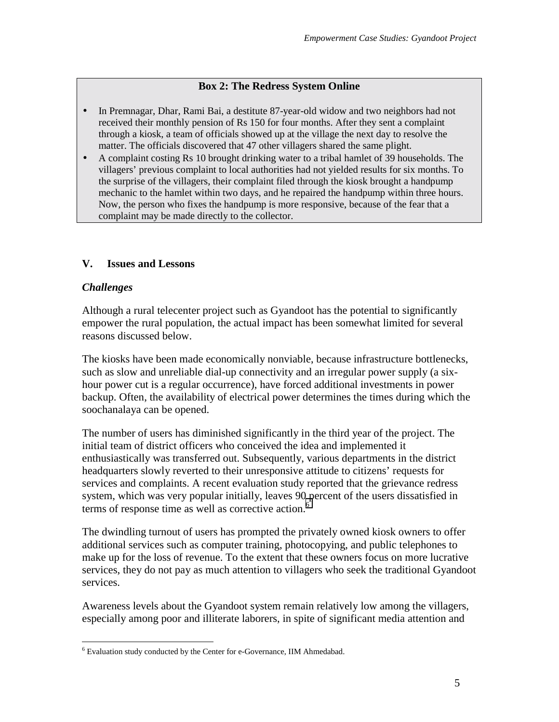#### **Box 2: The Redress System Online**

- In Premnagar, Dhar, Rami Bai, a destitute 87-year-old widow and two neighbors had not received their monthly pension of Rs 150 for four months. After they sent a complaint through a kiosk, a team of officials showed up at the village the next day to resolve the matter. The officials discovered that 47 other villagers shared the same plight.
- A complaint costing Rs 10 brought drinking water to a tribal hamlet of 39 households. The villagers' previous complaint to local authorities had not yielded results for six months. To the surprise of the villagers, their complaint filed through the kiosk brought a handpump mechanic to the hamlet within two days, and he repaired the handpump within three hours. Now, the person who fixes the handpump is more responsive, because of the fear that a complaint may be made directly to the collector.

#### **V. Issues and Lessons**

#### *Challenges*

 $\overline{a}$ 

Although a rural telecenter project such as Gyandoot has the potential to significantly empower the rural population, the actual impact has been somewhat limited for several reasons discussed below.

The kiosks have been made economically nonviable, because infrastructure bottlenecks, such as slow and unreliable dial-up connectivity and an irregular power supply (a sixhour power cut is a regular occurrence), have forced additional investments in power backup. Often, the availability of electrical power determines the times during which the soochanalaya can be opened.

The number of users has diminished significantly in the third year of the project. The initial team of district officers who conceived the idea and implemented it enthusiastically was transferred out. Subsequently, various departments in the district headquarters slowly reverted to their unresponsive attitude to citizens' requests for services and complaints. A recent evaluation study reported that the grievance redress system, which was very popular initially, leaves 90 percent of the users dissatisfied in terms of response time as well as corrective action. $6$ 

The dwindling turnout of users has prompted the privately owned kiosk owners to offer additional services such as computer training, photocopying, and public telephones to make up for the loss of revenue. To the extent that these owners focus on more lucrative services, they do not pay as much attention to villagers who seek the traditional Gyandoot services.

Awareness levels about the Gyandoot system remain relatively low among the villagers, especially among poor and illiterate laborers, in spite of significant media attention and

<sup>&</sup>lt;sup>6</sup> Evaluation study conducted by the Center for e-Governance, IIM Ahmedabad.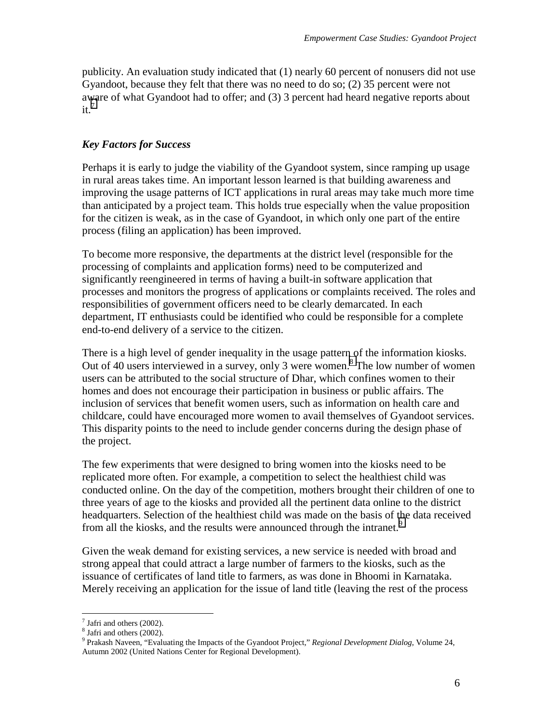publicity. An evaluation study indicated that (1) nearly 60 percent of nonusers did not use Gyandoot, because they felt that there was no need to do so; (2) 35 percent were not aware of what Gyandoot had to offer; and (3) 3 percent had heard negative reports about  $it.<sup>7</sup>$ 

#### *Key Factors for Success*

Perhaps it is early to judge the viability of the Gyandoot system, since ramping up usage in rural areas takes time. An important lesson learned is that building awareness and improving the usage patterns of ICT applications in rural areas may take much more time than anticipated by a project team. This holds true especially when the value proposition for the citizen is weak, as in the case of Gyandoot, in which only one part of the entire process (filing an application) has been improved.

To become more responsive, the departments at the district level (responsible for the processing of complaints and application forms) need to be computerized and significantly reengineered in terms of having a built-in software application that processes and monitors the progress of applications or complaints received. The roles and responsibilities of government officers need to be clearly demarcated. In each department, IT enthusiasts could be identified who could be responsible for a complete end-to-end delivery of a service to the citizen.

There is a high level of gender inequality in the usage pattern of the information kiosks. Out of 40 users interviewed in a survey, only 3 were women.<sup>8</sup> The low number of women users can be attributed to the social structure of Dhar, which confines women to their homes and does not encourage their participation in business or public affairs. The inclusion of services that benefit women users, such as information on health care and childcare, could have encouraged more women to avail themselves of Gyandoot services. This disparity points to the need to include gender concerns during the design phase of the project.

The few experiments that were designed to bring women into the kiosks need to be replicated more often. For example, a competition to select the healthiest child was conducted online. On the day of the competition, mothers brought their children of one to three years of age to the kiosks and provided all the pertinent data online to the district headquarters. Selection of the healthiest child was made on the basis of the data received from all the kiosks, and the results were announced through the intranet.<sup>9</sup>

Given the weak demand for existing services, a new service is needed with broad and strong appeal that could attract a large number of farmers to the kiosks, such as the issuance of certificates of land title to farmers, as was done in Bhoomi in Karnataka. Merely receiving an application for the issue of land title (leaving the rest of the process

 $\overline{a}$ 

 $7$  Jafri and others (2002).

<sup>&</sup>lt;sup>8</sup> Jafri and others (2002).

<sup>9</sup> Prakash Naveen, "Evaluating the Impacts of the Gyandoot Project," *Regional Development Dialog*, Volume 24, Autumn 2002 (United Nations Center for Regional Development).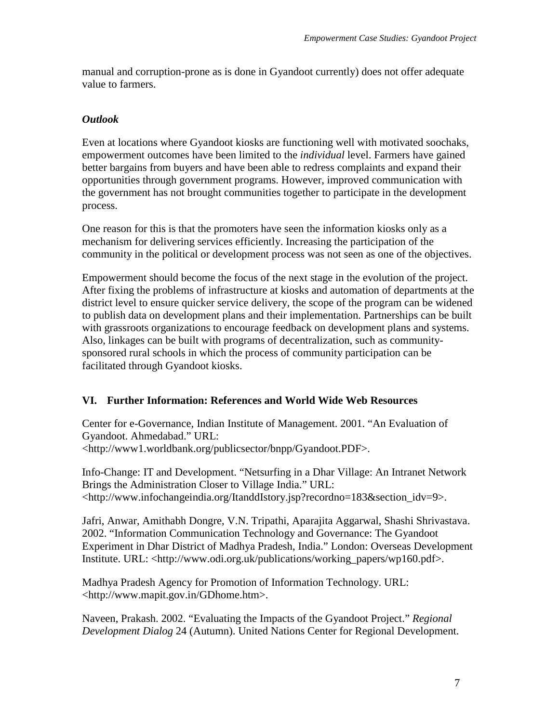manual and corruption-prone as is done in Gyandoot currently) does not offer adequate value to farmers.

# *Outlook*

Even at locations where Gyandoot kiosks are functioning well with motivated soochaks, empowerment outcomes have been limited to the *individual* level. Farmers have gained better bargains from buyers and have been able to redress complaints and expand their opportunities through government programs. However, improved communication with the government has not brought communities together to participate in the development process.

One reason for this is that the promoters have seen the information kiosks only as a mechanism for delivering services efficiently. Increasing the participation of the community in the political or development process was not seen as one of the objectives.

Empowerment should become the focus of the next stage in the evolution of the project. After fixing the problems of infrastructure at kiosks and automation of departments at the district level to ensure quicker service delivery, the scope of the program can be widened to publish data on development plans and their implementation. Partnerships can be built with grassroots organizations to encourage feedback on development plans and systems. Also, linkages can be built with programs of decentralization, such as communitysponsored rural schools in which the process of community participation can be facilitated through Gyandoot kiosks.

# **VI. Further Information: References and World Wide Web Resources**

Center for e-Governance, Indian Institute of Management. 2001. "An Evaluation of Gyandoot. Ahmedabad." URL: <http://www1.worldbank.org/publicsector/bnpp/Gyandoot.PDF>.

Info-Change: IT and Development. "Netsurfing in a Dhar Village: An Intranet Network Brings the Administration Closer to Village India." URL: <http://www.infochangeindia.org/ItanddIstory.jsp?recordno=183&section\_idv=9>.

Jafri, Anwar, Amithabh Dongre, V.N. Tripathi, Aparajita Aggarwal, Shashi Shrivastava. 2002. "Information Communication Technology and Governance: The Gyandoot Experiment in Dhar District of Madhya Pradesh, India." London: Overseas Development Institute. URL: <http://www.odi.org.uk/publications/working\_papers/wp160.pdf>.

Madhya Pradesh Agency for Promotion of Information Technology. URL: <http://www.mapit.gov.in/GDhome.htm>.

Naveen, Prakash. 2002. "Evaluating the Impacts of the Gyandoot Project." *Regional Development Dialog* 24 (Autumn). United Nations Center for Regional Development.